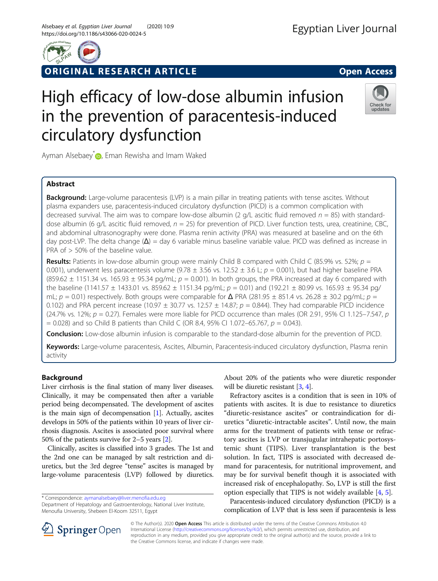

# ORIGINAL RESEARCH ARTICLE **External of the Contract Open Access**



# Check for updates

Ayman Alsebaey<sup>[\\*](http://orcid.org/0000-0003-3781-2312)</sup> , Eman Rewisha and Imam Waked

circulatory dysfunction

# Abstract

**Background:** Large-volume paracentesis (LVP) is a main pillar in treating patients with tense ascites. Without plasma expanders use, paracentesis-induced circulatory dysfunction (PICD) is a common complication with decreased survival. The aim was to compare low-dose albumin (2 g/L ascitic fluid removed  $n = 85$ ) with standarddose albumin (6 g/L ascitic fluid removed,  $n = 25$ ) for prevention of PICD. Liver function tests, urea, creatinine, CBC, and abdominal ultrasonography were done. Plasma renin activity (PRA) was measured at baseline and on the 6th day post-LVP. The delta change ( $\Delta$ ) = day 6 variable minus baseline variable value. PICD was defined as increase in PRA of > 50% of the baseline value.

High efficacy of low-dose albumin infusion

in the prevention of paracentesis-induced

**Results:** Patients in low-dose albumin group were mainly Child B compared with Child C (85.9% vs. 52%;  $p =$ 0.001), underwent less paracentesis volume (9.78  $\pm$  3.56 vs. 12.52  $\pm$  3.6 L;  $p = 0.001$ ), but had higher baseline PRA  $(859.62 \pm 1151.34 \text{ vs. } 165.93 \pm 95.34 \text{ pg/mL}; p = 0.001)$ . In both groups, the PRA increased at day 6 compared with the baseline (1141.57  $\pm$  1433.01 vs. 859.62  $\pm$  1151.34 pg/mL;  $p = 0.01$ ) and (192.21  $\pm$  80.99 vs. 165.93  $\pm$  95.34 pg/ mL;  $p = 0.01$ ) respectively. Both groups were comparable for  $\Delta$  PRA (281.95  $\pm$  851.4 vs. 26.28  $\pm$  30.2 pg/mL;  $p =$ 0.102) and PRA percent increase (10.97  $\pm$  30.77 vs. 12.57  $\pm$  14.87;  $p = 0.844$ ). They had comparable PICD incidence (24.7% vs. 12%;  $p = 0.27$ ). Females were more liable for PICD occurrence than males (OR 2.91, 95% CI 1.125–7.547, p  $= 0.028$ ) and so Child B patients than Child C (OR 8.4, 95% CI 1.072–65.767,  $p = 0.043$ ).

**Conclusion:** Low-dose albumin infusion is comparable to the standard-dose albumin for the prevention of PICD.

Keywords: Large-volume paracentesis, Ascites, Albumin, Paracentesis-induced circulatory dysfunction, Plasma renin activity

# Background

Liver cirrhosis is the final station of many liver diseases. Clinically, it may be compensated then after a variable period being decompensated. The development of ascites is the main sign of decompensation  $[1]$  $[1]$ . Actually, ascites develops in 50% of the patients within 10 years of liver cirrhosis diagnosis. Ascites is associated poor survival where 50% of the patients survive for 2–5 years [\[2](#page-7-0)].

Clinically, ascites is classified into 3 grades. The 1st and the 2nd one can be managed by salt restriction and diuretics, but the 3rd degree "tense" ascites is managed by large-volume paracentesis (LVP) followed by diuretics.

\* Correspondence: [aymanalsebaey@liver.menofia.edu.eg](mailto:aymanalsebaey@liver.menofia.edu.eg)

Department of Hepatology and Gastroenterology, National Liver Institute, Menoufia University, Shebeen El-Koom 32511, Egypt

About 20% of the patients who were diuretic responder will be diuretic resistant [\[3,](#page-7-0) [4](#page-7-0)].

Refractory ascites is a condition that is seen in 10% of patients with ascites. It is due to resistance to diuretics "diuretic-resistance ascites" or contraindication for diuretics "diuretic-intractable ascites". Until now, the main arms for the treatment of patients with tense or refractory ascites is LVP or transjugular intrahepatic portosystemic shunt (TIPS). Liver transplantation is the best solution. In fact, TIPS is associated with decreased demand for paracentesis, for nutritional improvement, and may be for survival benefit though it is associated with increased risk of encephalopathy. So, LVP is still the first option especially that TIPS is not widely available [[4,](#page-7-0) [5\]](#page-7-0).

Paracentesis-induced circulatory dysfunction (PICD) is a complication of LVP that is less seen if paracentesis is less



© The Author(s). 2020 Open Access This article is distributed under the terms of the Creative Commons Attribution 4.0 International License ([http://creativecommons.org/licenses/by/4.0/\)](http://creativecommons.org/licenses/by/4.0/), which permits unrestricted use, distribution, and reproduction in any medium, provided you give appropriate credit to the original author(s) and the source, provide a link to the Creative Commons license, and indicate if changes were made.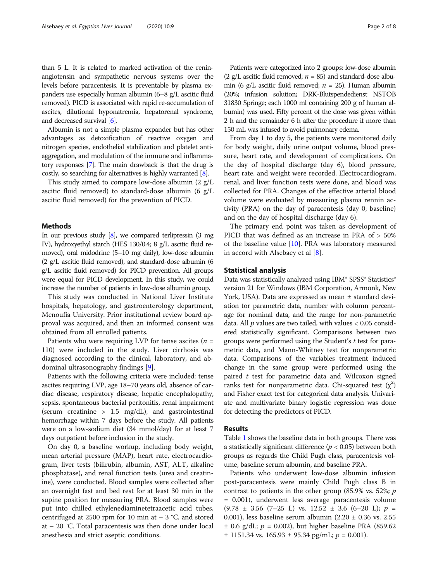than 5 L. It is related to marked activation of the reninangiotensin and sympathetic nervous systems over the levels before paracentesis. It is preventable by plasma expanders use especially human albumin (6–8 g/L ascitic fluid removed). PICD is associated with rapid re-accumulation of ascites, dilutional hyponatremia, hepatorenal syndrome, and decreased survival [\[6\]](#page-7-0).

Albumin is not a simple plasma expander but has other advantages as detoxification of reactive oxygen and nitrogen species, endothelial stabilization and platelet antiaggregation, and modulation of the immune and inflammatory responses [[7](#page-7-0)]. The main drawback is that the drug is costly, so searching for alternatives is highly warranted [\[8\]](#page-7-0).

This study aimed to compare low-dose albumin (2 g/L ascitic fluid removed) to standard-dose albumin (6 g/L ascitic fluid removed) for the prevention of PICD.

### Methods

In our previous study  $[8]$ , we compared terlipressin  $(3 \text{ mg})$ IV), hydroxyethyl starch (HES 130/0.4; 8 g/L ascitic fluid removed), oral midodrine (5–10 mg daily), low-dose albumin (2 g/L ascitic fluid removed), and standard-dose albumin (6 g/L ascitic fluid removed) for PICD prevention. All groups were equal for PICD development. In this study, we could increase the number of patients in low-dose albumin group.

This study was conducted in National Liver Institute hospitals, hepatology, and gastroenterology department, Menoufia University. Prior institutional review board approval was acquired, and then an informed consent was obtained from all enrolled patients.

Patients who were requiring LVP for tense ascites  $(n =$ 110) were included in the study. Liver cirrhosis was diagnosed according to the clinical, laboratory, and abdominal ultrasonography findings [[9\]](#page-7-0).

Patients with the following criteria were included: tense ascites requiring LVP, age 18–70 years old, absence of cardiac disease, respiratory disease, hepatic encephalopathy, sepsis, spontaneous bacterial peritonitis, renal impairment (serum creatinine  $> 1.5$  mg/dL), and gastrointestinal hemorrhage within 7 days before the study. All patients were on a low-sodium diet (34 mmol/day) for at least 7 days outpatient before inclusion in the study.

On day 0, a baseline workup, including body weight, mean arterial pressure (MAP), heart rate, electrocardiogram, liver tests (bilirubin, albumin, AST, ALT, alkaline phosphatase), and renal function tests (urea and creatinine), were conducted. Blood samples were collected after an overnight fast and bed rest for at least 30 min in the supine position for measuring PRA. Blood samples were put into chilled ethylenediaminetetraacetic acid tubes, centrifuged at 2500 rpm for 10 min at  $-3$  °C, and stored at – 20 °C. Total paracentesis was then done under local anesthesia and strict aseptic conditions.

Patients were categorized into 2 groups: low-dose albumin (2 g/L ascitic fluid removed;  $n = 85$ ) and standard-dose albumin (6 g/L ascitic fluid removed;  $n = 25$ ). Human albumin (20%; infusion solution; DRK-Blutspendedienst NSTOB 31830 Springe; each 1000 ml containing 200 g of human albumin) was used. Fifty percent of the dose was given within 2 h and the remainder 6 h after the procedure if more than 150 mL was infused to avoid pulmonary edema.

From day 1 to day 5, the patients were monitored daily for body weight, daily urine output volume, blood pressure, heart rate, and development of complications. On the day of hospital discharge (day 6), blood pressure, heart rate, and weight were recorded. Electrocardiogram, renal, and liver function tests were done, and blood was collected for PRA. Changes of the effective arterial blood volume were evaluated by measuring plasma rennin activity (PRA) on the day of paracentesis (day 0; baseline) and on the day of hospital discharge (day 6).

The primary end point was taken as development of PICD that was defined as an increase in PRA of > 50% of the baseline value  $[10]$  $[10]$ . PRA was laboratory measured in accord with Alsebaey et al [\[8](#page-7-0)].

# Statistical analysis

Data was statistically analyzed using IBM® SPSS® Statistics® version 21 for Windows (IBM Corporation, Armonk, New York, USA). Data are expressed as mean ± standard deviation for parametric data, number with column percentage for nominal data, and the range for non-parametric data. All  $p$  values are two tailed, with values  $< 0.05$  considered statistically significant. Comparisons between two groups were performed using the Student's t test for parametric data, and Mann-Whitney test for nonparametric data. Comparisons of the variables treatment induced change in the same group were performed using the paired  $t$  test for parametric data and Wilcoxon signed ranks test for nonparametric data. Chi-squared test  $(x^2)$ and Fisher exact test for categorical data analysis. Univariate and multivariate binary logistic regression was done for detecting the predictors of PICD.

# Results

Table [1](#page-2-0) shows the baseline data in both groups. There was a statistically significant difference ( $p < 0.05$ ) between both groups as regards the Child Pugh class, paracentesis volume, baseline serum albumin, and baseline PRA.

Patients who underwent low-dose albumin infusion post-paracentesis were mainly Child Pugh class B in contrast to patients in the other group  $(85.9\% \text{ vs. } 52\%; p)$ = 0.001), underwent less average paracentesis volume  $(9.78 \pm 3.56 \pm 7-25 \text{ L})$  vs.  $12.52 \pm 3.6 \pm 6-20 \text{ L}$ ;  $p =$ 0.001), less baseline serum albumin  $(2.20 \pm 0.36 \text{ vs. } 2.55)$  $\pm$  0.6 g/dL;  $p = 0.002$ ), but higher baseline PRA (859.62)  $\pm$  1151.34 vs. 165.93  $\pm$  95.34 pg/mL;  $p = 0.001$ ).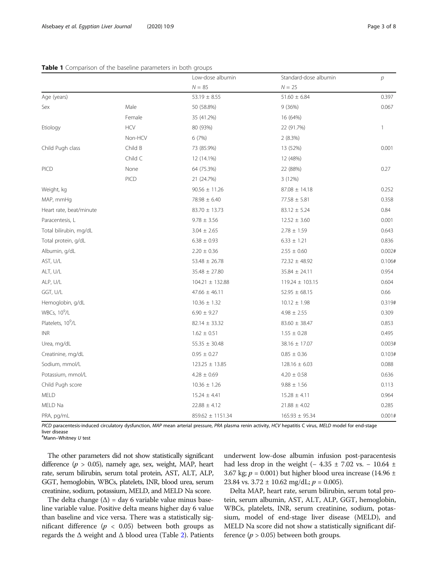<span id="page-2-0"></span>

|                               |                | Low-dose albumin    | Standard-dose albumin | $\mathcal{D}$ |
|-------------------------------|----------------|---------------------|-----------------------|---------------|
|                               |                | $N = 85$            | $N = 25$              |               |
| Age (years)                   |                | $53.19 \pm 8.55$    | $51.60 \pm 6.84$      | 0.397         |
| Sex                           | Male           | 50 (58.8%)          | 9 (36%)               | 0.067         |
|                               | Female         | 35 (41.2%)          | 16 (64%)              |               |
| Etiology                      | $\mathsf{HCV}$ | 80 (93%)            | 22 (91.7%)            | 1             |
|                               | Non-HCV        | 6(7%)               | 2(8.3%)               |               |
| Child Pugh class              | Child B        | 73 (85.9%)          | 13 (52%)              | 0.001         |
|                               | Child C        | 12 (14.1%)          | 12 (48%)              |               |
| PICD                          | None           | 64 (75.3%)          | 22 (88%)              | 0.27          |
|                               | PICD           | 21 (24.7%)          | 3(12%)                |               |
| Weight, kg                    |                | $90.56 \pm 11.26$   | $87.08 \pm 14.18$     | 0.252         |
| MAP, mmHq                     |                | $78.98 \pm 6.40$    | $77.58 \pm 5.81$      | 0.358         |
| Heart rate, beat/minute       |                | $83.70 \pm 13.73$   | $83.12 \pm 5.24$      | 0.84          |
| Paracentesis, L               |                | $9.78 \pm 3.56$     | $12.52 \pm 3.60$      | 0.001         |
| Total bilirubin, mg/dL        |                | $3.04 \pm 2.65$     | $2.78 \pm 1.59$       | 0.643         |
| Total protein, g/dL           |                | $6.38 \pm 0.93$     | $6.33 \pm 1.21$       | 0.836         |
| Albumin, g/dL                 |                | $2.20 \pm 0.36$     | $2.55 \pm 0.60$       | 0.002#        |
| AST, U/L                      |                | $53.48 \pm 26.78$   | $72.32 \pm 48.92$     | 0.106#        |
| ALT, U/L                      |                | $35.48 \pm 27.80$   | $35.84 \pm 24.11$     | 0.954         |
| ALP, U/L                      |                | $104.21 \pm 132.88$ | $119.24 \pm 103.15$   | 0.604         |
| GGT, U/L                      |                | $47.66 \pm 46.11$   | $52.95 \pm 68.15$     | 0.66          |
| Hemoglobin, g/dL              |                | $10.36 \pm 1.32$    | $10.12 \pm 1.98$      | 0.319#        |
| WBCs, 10 <sup>9</sup> /L      |                | $6.90 \pm 9.27$     | $4.98 \pm 2.55$       | 0.309         |
| Platelets, 10 <sup>9</sup> /L |                | $82.14 \pm 33.32$   | $83.60 \pm 38.47$     | 0.853         |
| <b>INR</b>                    |                | $1.62 \pm 0.51$     | $1.55 \pm 0.28$       | 0.495         |
| Urea, mg/dL                   |                | $55.35 \pm 30.48$   | 38.16 ± 17.07         | 0.003#        |
| Creatinine, mg/dL             |                | $0.95 \pm 0.27$     | $0.85 \pm 0.36$       | 0.103#        |
| Sodium, mmol/L                |                | $123.25 \pm 13.85$  | $128.16 \pm 6.03$     | 0.088         |
| Potassium, mmol/L             |                | $4.28 \pm 0.69$     | $4.20 \pm 0.58$       | 0.636         |
| Child Pugh score              |                | $10.36 \pm 1.26$    | $9.88 \pm 1.56$       | 0.113         |
| MELD                          |                | $15.24 \pm 4.41$    | $15.28 \pm 4.11$      | 0.964         |
| MELD Na                       |                | $22.88 \pm 4.12$    | $21.88 \pm 4.02$      | 0.285         |
| PRA, pg/mL                    |                | 859.62 ± 1151.34    | $165.93 \pm 95.34$    | 0.001#        |

PICD paracentesis-induced circulatory dysfunction, MAP mean arterial pressure, PRA plasma renin activity, HCV hepatitis C virus, MELD model for end-stage liver disease

# Mann–Whitney U test

The other parameters did not show statistically significant difference ( $p > 0.05$ ), namely age, sex, weight, MAP, heart rate, serum bilirubin, serum total protein, AST, ALT, ALP, GGT, hemoglobin, WBCs, platelets, INR, blood urea, serum creatinine, sodium, potassium, MELD, and MELD Na score.

The delta change  $(\Delta)$  = day 6 variable value minus baseline variable value. Positive delta means higher day 6 value than baseline and vice versa. There was a statistically significant difference ( $p < 0.05$ ) between both groups as regards the  $\Delta$  weight and  $\Delta$  blood urea (Table [2\)](#page-3-0). Patients

underwent low-dose albumin infusion post-paracentesis had less drop in the weight (− 4.35 ± 7.02 vs. − 10.64 ± 3.67 kg;  $p = 0.001$ ) but higher blood urea increase (14.96 ± 23.84 vs.  $3.72 \pm 10.62$  mg/dL;  $p = 0.005$ ).

Delta MAP, heart rate, serum bilirubin, serum total protein, serum albumin, AST, ALT, ALP, GGT, hemoglobin, WBCs, platelets, INR, serum creatinine, sodium, potassium, model of end-stage liver disease (MELD), and MELD Na score did not show a statistically significant difference ( $p > 0.05$ ) between both groups.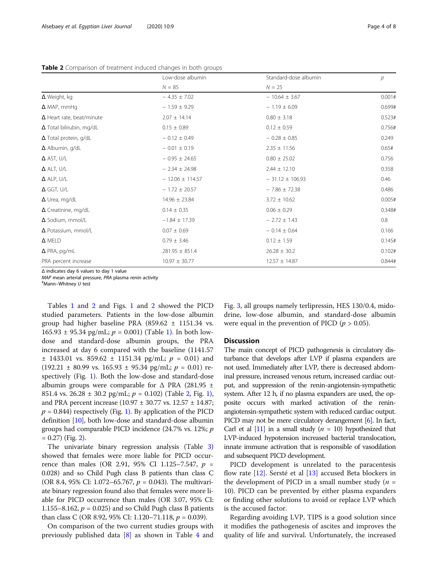<span id="page-3-0"></span>Table 2 Comparison of treatment induced changes in both groups

|                                  | Low-dose albumin    | Standard-dose albumin | р      |  |
|----------------------------------|---------------------|-----------------------|--------|--|
|                                  | $N = 85$            | $N = 25$              |        |  |
| $\Delta$ Weight, kg              | $-4.35 \pm 7.02$    | $-10.64 \pm 3.67$     | 0.001# |  |
| $\Delta$ MAP, mmHq               | $-1.59 \pm 9.29$    | $-1.19 \pm 6.09$      | 0.699# |  |
| $\Delta$ Heart rate, beat/minute | $2.07 \pm 14.14$    | $0.80 \pm 3.18$       |        |  |
| $\Delta$ Total bilirubin, mg/dL  | $0.15 \pm 0.89$     | $0.12 \pm 0.59$       | 0.756# |  |
| $\Delta$ Total protein, g/dL     | $-0.12 \pm 0.49$    | $-0.28 \pm 0.85$      | 0.249  |  |
| $\Delta$ Albumin, g/dL           | $-0.01 \pm 0.19$    | $2.35 \pm 11.56$      | 0.65#  |  |
| $\Delta$ AST, U/L                | $-0.95 \pm 24.65$   | $0.80 \pm 25.02$      | 0.756  |  |
| $\Delta$ ALT, U/L                | $-2.34 \pm 24.98$   | $2.44 \pm 12.10$      | 0.358  |  |
| $\Delta$ ALP, U/L                | $-12.06 \pm 114.57$ | $-31.12 \pm 106.93$   | 0.46   |  |
| $\Delta$ GGT, U/L                | $-1.72 \pm 20.57$   | $-7.86 \pm 72.38$     | 0.486  |  |
| $\Delta$ Urea, mg/dL             | $14.96 \pm 23.84$   | $3.72 \pm 10.62$      | 0.005# |  |
| $\Delta$ Creatinine, mg/dL       | $0.14 \pm 0.35$     | $0.06 \pm 0.29$       | 0.348# |  |
| $\Delta$ Sodium, mmol/L          | $-1.84 \pm 17.39$   | $-2.72 \pm 1.43$      | 0.8    |  |
| $\Delta$ Potassium, mmol/L       | $0.07 \pm 0.69$     | $-0.14 \pm 0.64$      | 0.166  |  |
| $\Delta$ MELD                    | $0.79 \pm 3.46$     | $0.12 \pm 1.59$       | 0.145# |  |
| $\Delta$ PRA, pg/mL              | $281.95 \pm 851.4$  | $26.28 \pm 30.2$      | 0.102# |  |
| PRA percent increase             | $10.97 \pm 30.77$   | $12.57 \pm 14.87$     | 0.844# |  |

Δ indicates day 6 values to day 1 value

MAP mean arterial pressure, PRA plasma renin activity

Mann–Whitney U test

Tables [1](#page-2-0) and 2 and Figs. [1](#page-4-0) and [2](#page-4-0) showed the PICD studied parameters. Patients in the low-dose albumin group had higher baseline PRA  $(859.62 \pm 1151.34 \text{ vs.}$  $165.93 \pm 95.34$  pg/mL;  $p = 0.001$ ) (Table [1\)](#page-2-0). In both lowdose and standard-dose albumin groups, the PRA increased at day 6 compared with the baseline (1141.57  $\pm$  1433.01 vs. 859.62  $\pm$  1151.34 pg/mL;  $p = 0.01$ ) and  $(192.21 \pm 80.99 \text{ vs. } 165.93 \pm 95.34 \text{ pg/mL}; p = 0.01) \text{ re-}$ spectively (Fig. [1\)](#page-4-0). Both the low-dose and standard-dose albumin groups were comparable for  $\Delta$  PRA (281.95  $\pm$ 85[1](#page-4-0).4 vs. 26.28  $\pm$  30.2 pg/mL;  $p = 0.102$ ) (Table 2, Fig. 1), and PRA percent increase  $(10.97 \pm 30.77 \text{ vs. } 12.57 \pm 14.87)$ ;  $p = 0.844$ ) respectively (Fig. [1](#page-4-0)). By application of the PICD definition [\[10](#page-7-0)], both low-dose and standard-dose albumin groups had comparable PICD incidence (24.7% vs. 12%; p  $= 0.27$ ) (Fig. [2\)](#page-4-0).

The univariate binary regression analysis (Table [3](#page-5-0)) showed that females were more liable for PICD occurrence than males (OR 2.91, 95% CI 1.125–7.547,  $p =$ 0.028) and so Child Pugh class B patients than class C (OR 8.4, 95% CI: 1.072–65.767,  $p = 0.043$ ). The multivariate binary regression found also that females were more liable for PICD occurrence than males (OR 3.07, 95% CI: 1.155–8.162,  $p = 0.025$ ) and so Child Pugh class B patients than class C (OR 8.92, 95% CI: 1.120–71.118,  $p = 0.039$ ).

On comparison of the two current studies groups with previously published data [[8\]](#page-7-0) as shown in Table [4](#page-5-0) and

Fig. [3](#page-6-0), all groups namely terlipressin, HES 130/0.4, midodrine, low-dose albumin, and standard-dose albumin were equal in the prevention of PICD ( $p > 0.05$ ).

# **Discussion**

The main concept of PICD pathogenesis is circulatory disturbance that develops after LVP if plasma expanders are not used. Immediately after LVP, there is decreased abdominal pressure, increased venous return, increased cardiac output, and suppression of the renin-angiotensin-sympathetic system. After 12 h, if no plasma expanders are used, the opposite occurs with marked activation of the reninangiotensin-sympathetic system with reduced cardiac output. PICD may not be mere circulatory derangement [\[6\]](#page-7-0). In fact, Carl et al  $[11]$  $[11]$  in a small study ( $n = 10$ ) hypothesized that LVP-induced hypotension increased bacterial translocation, innate immune activation that is responsible of vasodilation and subsequent PICD development.

PICD development is unrelated to the paracentesis flow rate [\[12\]](#page-7-0). Sersté et al [[13](#page-7-0)] accused Beta blockers in the development of PICD in a small number study  $(n =$ 10). PICD can be prevented by either plasma expanders or finding other solutions to avoid or replace LVP which is the accused factor.

Regarding avoiding LVP, TIPS is a good solution since it modifies the pathogenesis of ascites and improves the quality of life and survival. Unfortunately, the increased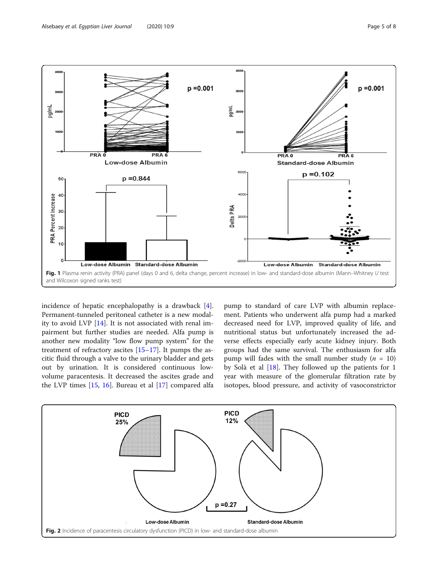<span id="page-4-0"></span>

incidence of hepatic encephalopathy is a drawback [\[4](#page-7-0)]. Permanent-tunneled peritoneal catheter is a new modality to avoid LVP [\[14](#page-7-0)]. It is not associated with renal impairment but further studies are needed. Alfa pump is another new modality "low flow pump system" for the treatment of refractory ascites  $[15-17]$  $[15-17]$  $[15-17]$  $[15-17]$ . It pumps the ascitic fluid through a valve to the urinary bladder and gets out by urination. It is considered continuous lowvolume paracentesis. It decreased the ascites grade and the LVP times [[15](#page-7-0), [16\]](#page-7-0). Bureau et al [\[17](#page-7-0)] compared alfa

pump to standard of care LVP with albumin replacement. Patients who underwent alfa pump had a marked decreased need for LVP, improved quality of life, and nutritional status but unfortunately increased the adverse effects especially early acute kidney injury. Both groups had the same survival. The enthusiasm for alfa pump will fades with the small number study ( $n = 10$ ) by Solà et al [\[18\]](#page-7-0). They followed up the patients for 1 year with measure of the glomerular filtration rate by isotopes, blood pressure, and activity of vasoconstrictor

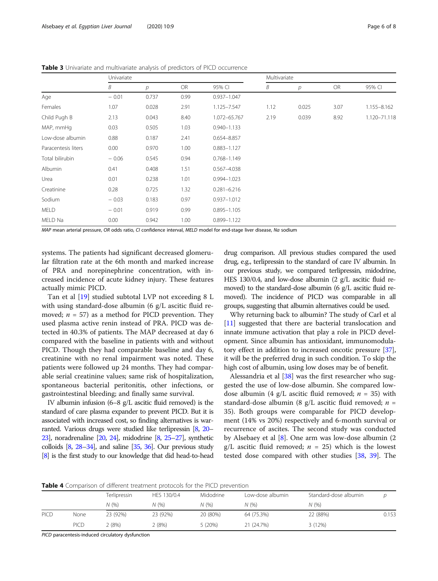|                     | Univariate |                |           |                 | Multivariate |               |           |              |
|---------------------|------------|----------------|-----------|-----------------|--------------|---------------|-----------|--------------|
|                     | B          | $\overline{p}$ | <b>OR</b> | 95% CI          | Β            | $\mathcal{P}$ | <b>OR</b> | 95% CI       |
| Age                 | $-0.01$    | 0.737          | 0.99      | $0.937 - 1.047$ |              |               |           |              |
| Females             | 1.07       | 0.028          | 2.91      | 1.125-7.547     | 1.12         | 0.025         | 3.07      | 1.155-8.162  |
| Child Pugh B        | 2.13       | 0.043          | 8.40      | 1.072-65.767    | 2.19         | 0.039         | 8.92      | 1.120-71.118 |
| MAP, mmHq           | 0.03       | 0.505          | 1.03      | $0.940 - 1.133$ |              |               |           |              |
| Low-dose albumin    | 0.88       | 0.187          | 2.41      | 0.654-8.857     |              |               |           |              |
| Paracentesis liters | 0.00       | 0.970          | 1.00      | $0.883 - 1.127$ |              |               |           |              |
| Total bilirubin     | $-0.06$    | 0.545          | 0.94      | $0.768 - 1.149$ |              |               |           |              |
| Albumin             | 0.41       | 0.408          | 1.51      | 0.567-4.038     |              |               |           |              |
| Urea                | 0.01       | 0.238          | 1.01      | 0.994-1.023     |              |               |           |              |
| Creatinine          | 0.28       | 0.725          | 1.32      | $0.281 - 6.216$ |              |               |           |              |
| Sodium              | $-0.03$    | 0.183          | 0.97      | 0.937-1.012     |              |               |           |              |
| <b>MELD</b>         | $-0.01$    | 0.919          | 0.99      | $0.895 - 1.105$ |              |               |           |              |
| MELD Na             | 0.00       | 0.942          | 1.00      | 0.899-1.122     |              |               |           |              |

<span id="page-5-0"></span>Table 3 Univariate and multivariate analysis of predictors of PICD occurrence

MAP mean arterial pressure, OR odds ratio, CI confidence interval, MELD model for end-stage liver disease, Na sodium

systems. The patients had significant decreased glomerular filtration rate at the 6th month and marked increase of PRA and norepinephrine concentration, with increased incidence of acute kidney injury. These features actually mimic PICD.

Tan et al [\[19\]](#page-7-0) studied subtotal LVP not exceeding 8 L with using standard-dose albumin (6 g/L ascitic fluid removed;  $n = 57$ ) as a method for PICD prevention. They used plasma active renin instead of PRA. PICD was detected in 40.3% of patients. The MAP decreased at day 6 compared with the baseline in patients with and without PICD. Though they had comparable baseline and day 6, creatinine with no renal impairment was noted. These patients were followed up 24 months. They had comparable serial creatinine values; same risk of hospitalization, spontaneous bacterial peritonitis, other infections, or gastrointestinal bleeding; and finally same survival.

IV albumin infusion (6–8 g/L ascitic fluid removed) is the standard of care plasma expander to prevent PICD. But it is associated with increased cost, so finding alternatives is warranted. Various drugs were studied like terlipressin [\[8,](#page-7-0) [20](#page-7-0)– [23\]](#page-7-0), noradrenaline [\[20](#page-7-0), [24](#page-7-0)], midodrine [\[8,](#page-7-0) [25](#page-7-0)–[27\]](#page-7-0), synthetic colloids  $[8, 28-34]$  $[8, 28-34]$  $[8, 28-34]$  $[8, 28-34]$  $[8, 28-34]$ , and saline  $[35, 36]$  $[35, 36]$  $[35, 36]$ . Our previous study [[8](#page-7-0)] is the first study to our knowledge that did head-to-head drug comparison. All previous studies compared the used drug, e.g., terlipressin to the standard of care IV albumin. In our previous study, we compared terlipressin, midodrine, HES 130/0.4, and low-dose albumin (2 g/L ascitic fluid removed) to the standard-dose albumin (6 g/L ascitic fluid removed). The incidence of PICD was comparable in all groups, suggesting that albumin alternatives could be used.

Why returning back to albumin? The study of Carl et al [[11](#page-7-0)] suggested that there are bacterial translocation and innate immune activation that play a role in PICD development. Since albumin has antioxidant, immunomodulatory effect in addition to increased oncotic pressure [[37](#page-7-0)], it will be the preferred drug in such condition. To skip the high cost of albumin, using low doses may be of benefit.

Alessandria et al [[38](#page-7-0)] was the first researcher who suggested the use of low-dose albumin. She compared lowdose albumin (4 g/L ascitic fluid removed;  $n = 35$ ) with standard-dose albumin (8 g/L ascitic fluid removed;  $n =$ 35). Both groups were comparable for PICD development (14% vs 20%) respectively and 6-month survival or recurrence of ascites. The second study was conducted by Alsebaey et al [\[8](#page-7-0)]. One arm was low-dose albumin (2 g/L ascitic fluid removed;  $n = 25$ ) which is the lowest tested dose compared with other studies [\[38,](#page-7-0) [39](#page-7-0)]. The

Table 4 Comparison of different treatment protocols for the PICD prevention

|      |      | Terlipressin | HES 130/0.4 | Midodrine | Low-dose albumin | Standard-dose albumin |       |
|------|------|--------------|-------------|-----------|------------------|-----------------------|-------|
|      |      | N (%)        | N(%)        | N(96)     | N(%              | N(%                   |       |
| PICD | None | 23 (92%)     | 23 (92%)    | 20 (80%)  | 64 (75.3%)       | 22 (88%)              | 0.153 |
|      | PICD | 2 (8%)       | 2 (8%)      | 5(20%)    | 21 (24.7%)       | 3 (12%)               |       |

PICD paracentesis-induced circulatory dysfunction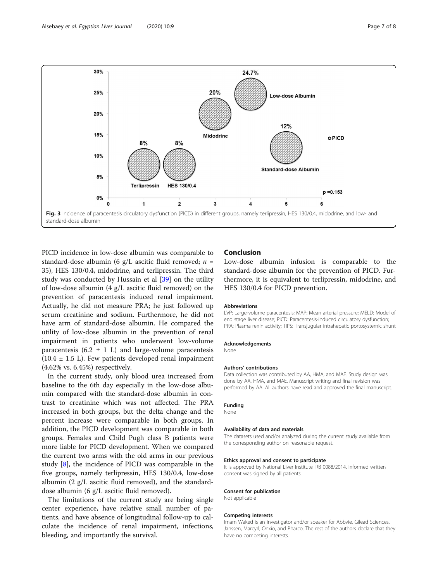<span id="page-6-0"></span>

PICD incidence in low-dose albumin was comparable to standard-dose albumin (6 g/L ascitic fluid removed;  $n =$ 35), HES 130/0.4, midodrine, and terlipressin. The third study was conducted by Hussain et al [\[39](#page-7-0)] on the utility of low-dose albumin (4 g/L ascitic fluid removed) on the prevention of paracentesis induced renal impairment. Actually, he did not measure PRA; he just followed up serum creatinine and sodium. Furthermore, he did not have arm of standard-dose albumin. He compared the utility of low-dose albumin in the prevention of renal impairment in patients who underwent low-volume paracentesis (6.2  $\pm$  1 L) and large-volume paracentesis  $(10.4 \pm 1.5 \text{ L})$ . Few patients developed renal impairment (4.62% vs. 6.45%) respectively.

In the current study, only blood urea increased from baseline to the 6th day especially in the low-dose albumin compared with the standard-dose albumin in contrast to creatinine which was not affected. The PRA increased in both groups, but the delta change and the percent increase were comparable in both groups. In addition, the PICD development was comparable in both groups. Females and Child Pugh class B patients were more liable for PICD development. When we compared the current two arms with the old arms in our previous study [\[8](#page-7-0)], the incidence of PICD was comparable in the five groups, namely terlipressin, HES 130/0.4, low-dose albumin (2 g/L ascitic fluid removed), and the standarddose albumin (6 g/L ascitic fluid removed).

The limitations of the current study are being single center experience, have relative small number of patients, and have absence of longitudinal follow-up to calculate the incidence of renal impairment, infections, bleeding, and importantly the survival.

# Conclusion

Low-dose albumin infusion is comparable to the standard-dose albumin for the prevention of PICD. Furthermore, it is equivalent to terlipressin, midodrine, and HES 130/0.4 for PICD prevention.

### Abbreviations

LVP: Large-volume paracentesis; MAP: Mean arterial pressure; MELD: Model of end stage liver disease; PICD: Paracentesis-induced circulatory dysfunction; PRA: Plasma renin activity; TIPS: Transjugular intrahepatic portosystemic shunt

#### Acknowledgements

None

### Authors' contributions

Data collection was contributed by AA, HMA, and MAE. Study design was done by AA, HMA, and MAE. Manuscript writing and final revision was performed by AA. All authors have read and approved the final manuscript.

# Funding

None

### Availability of data and materials

The datasets used and/or analyzed during the current study available from the corresponding author on reasonable request.

#### Ethics approval and consent to participate

It is approved by National Liver Institute IRB 0088/2014. Informed written consent was signed by all patients.

#### Consent for publication

Not applicable

## Competing interests

Imam Waked is an investigator and/or speaker for Abbvie, Gilead Sciences, Janssen, Marcyrl, Onxio, and Pharco. The rest of the authors declare that they have no competing interests.